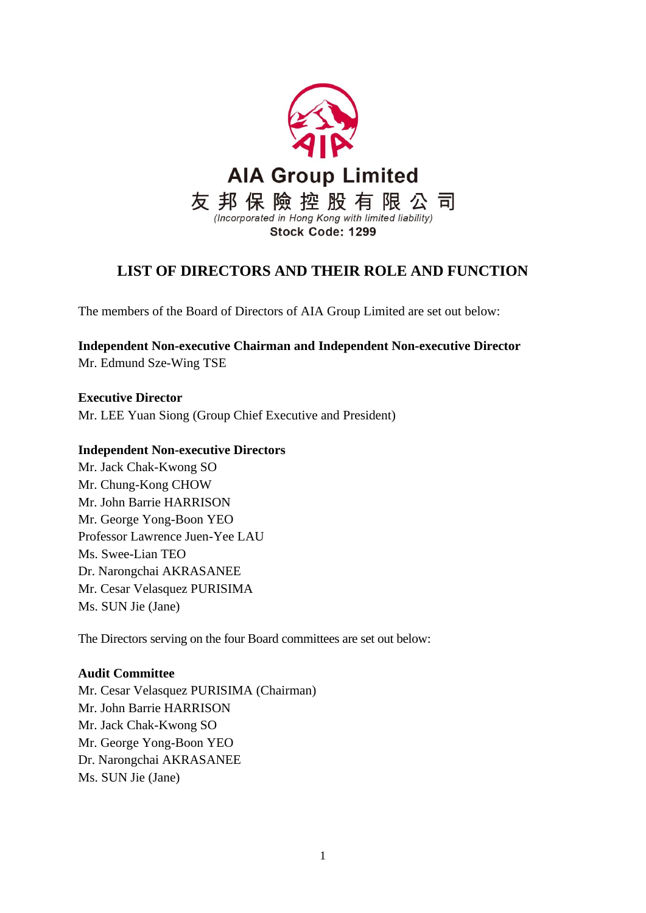

# **LIST OF DIRECTORS AND THEIR ROLE AND FUNCTION**

The members of the Board of Directors of AIA Group Limited are set out below:

**Independent Non-executive Chairman and Independent Non-executive Director** Mr. Edmund Sze-Wing TSE

**Executive Director** Mr. LEE Yuan Siong (Group Chief Executive and President)

## **Independent Non-executive Directors**

Mr. Jack Chak-Kwong SO Mr. Chung-Kong CHOW Mr. John Barrie HARRISON Mr. George Yong-Boon YEO Professor Lawrence Juen-Yee LAU Ms. Swee-Lian TEO Dr. Narongchai AKRASANEE Mr. Cesar Velasquez PURISIMA Ms. SUN Jie (Jane)

The Directors serving on the four Board committees are set out below:

# **Audit Committee**

Mr. Cesar Velasquez PURISIMA (Chairman) Mr. John Barrie HARRISON Mr. Jack Chak-Kwong SO Mr. George Yong-Boon YEO Dr. Narongchai AKRASANEE Ms. SUN Jie (Jane)